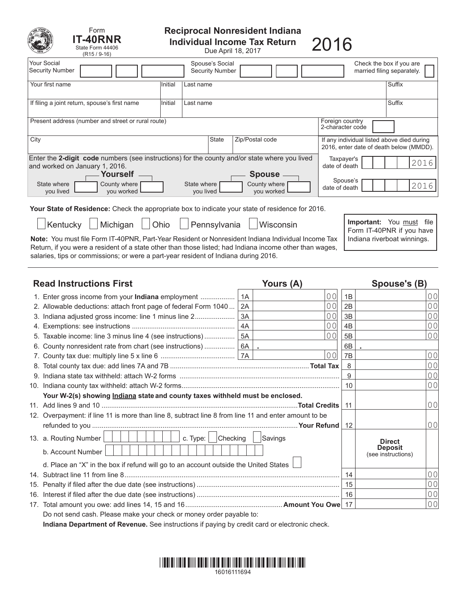| Form<br><b>T-40RNR</b><br>State Form 44406<br>$(R15/9-16)$                                                                                                             |                                     |                                             | <b>Reciprocal Nonresident Indiana</b><br><b>Individual Income Tax Return</b><br>Due April 18, 2017 | 2016 |                                                          |  |
|------------------------------------------------------------------------------------------------------------------------------------------------------------------------|-------------------------------------|---------------------------------------------|----------------------------------------------------------------------------------------------------|------|----------------------------------------------------------|--|
| Your Social<br><b>Security Number</b>                                                                                                                                  |                                     | Spouse's Social<br><b>Security Number</b>   |                                                                                                    |      | Check the box if you are<br>married filing separately.   |  |
| Your first name                                                                                                                                                        | Initial<br>Last name                |                                             |                                                                                                    |      | Suffix                                                   |  |
| If filing a joint return, spouse's first name                                                                                                                          | Initial<br>Last name                |                                             |                                                                                                    |      | Suffix                                                   |  |
| Present address (number and street or rural route)                                                                                                                     | Foreign country<br>2-character code |                                             |                                                                                                    |      |                                                          |  |
| City                                                                                                                                                                   | <b>State</b>                        | Zip/Postal code                             | If any individual listed above died during<br>2016, enter date of death below (MMDD).              |      |                                                          |  |
| Enter the 2-digit code numbers (see instructions) for the county and/or state where you lived<br>Taxpayer's<br>2016<br>and worked on January 1, 2016.<br>date of death |                                     |                                             |                                                                                                    |      |                                                          |  |
| Yourself<br>State where<br>County where<br>you lived<br>you worked                                                                                                     | State where<br>you lived            | <b>Spouse</b><br>County where<br>you worked | Spouse's<br>2016<br>date of death                                                                  |      |                                                          |  |
| <b>Your State of Residence:</b> Check the appropriate box to indicate your state of residence for 2016.                                                                |                                     |                                             |                                                                                                    |      |                                                          |  |
| Michigan<br>Kentucky                                                                                                                                                   | Ohio                                | Pennsylvania                                | Wisconsin                                                                                          |      | Important:<br>You must file<br>Form IT-40PNR if you have |  |

Note: You must file Form IT-40PNR, Part-Year Resident or Nonresident Indiana Individual Income Tax | Indiana riverboat winnings. Return, if you were a resident of a state other than those listed; had Indiana income other than wages, salaries, tips or commissions; or were a part-year resident of Indiana during 2016.

| <b>Read Instructions First</b> |                                                                                                      |    | Yours (A)      | Spouse's (B)   |                                                       |                |
|--------------------------------|------------------------------------------------------------------------------------------------------|----|----------------|----------------|-------------------------------------------------------|----------------|
|                                | 1. Enter gross income from your Indiana employment                                                   | 1A | 0 <sub>0</sub> | 1B             |                                                       | 0 <sub>0</sub> |
|                                | 2. Allowable deductions: attach front page of federal Form 1040                                      | 2A | 0 <sub>0</sub> | 2B             |                                                       | 0 <sub>0</sub> |
|                                | 3. Indiana adjusted gross income: line 1 minus line 2                                                | 3A | 0 <sub>0</sub> | 3B             |                                                       | 0 <sub>0</sub> |
|                                |                                                                                                      | 4A | 0 <sub>0</sub> | 4 <sub>B</sub> |                                                       | 0 <sub>0</sub> |
|                                | 5. Taxable income: line 3 minus line 4 (see instructions)                                            | 5A | 0 <sub>0</sub> | 5B             |                                                       | 0 <sub>0</sub> |
|                                | 6. County nonresident rate from chart (see instructions)  6A                                         |    |                | 6B             |                                                       |                |
|                                |                                                                                                      |    | 0 <sub>0</sub> | 7B             |                                                       | 0 <sub>0</sub> |
|                                |                                                                                                      |    |                | 8              |                                                       | 0 <sub>0</sub> |
|                                |                                                                                                      |    |                | 9              |                                                       | 0 <sub>0</sub> |
|                                |                                                                                                      |    | 10             |                | 0 <sub>0</sub>                                        |                |
|                                | Your W-2(s) showing <b>Indiana</b> state and county taxes withheld must be enclosed.                 |    |                |                |                                                       |                |
|                                |                                                                                                      |    | 11             |                | 0 <sub>0</sub>                                        |                |
|                                | 12. Overpayment: if line 11 is more than line 8, subtract line 8 from line 11 and enter amount to be |    |                |                |                                                       |                |
|                                |                                                                                                      |    |                | 12             |                                                       | 0 <sub>0</sub> |
|                                | $\vert$ Checking<br>c. Type:<br>13. a. Routing Number<br>b. Account Number                           |    | Savings        |                | <b>Direct</b><br><b>Deposit</b><br>(see instructions) |                |
|                                | d. Place an "X" in the box if refund will go to an account outside the United States                 |    |                |                |                                                       |                |
|                                |                                                                                                      | 14 |                | 0 <sub>0</sub> |                                                       |                |
|                                |                                                                                                      |    |                |                |                                                       | 0 <sub>0</sub> |
|                                |                                                                                                      |    |                | 0 <sub>0</sub> |                                                       |                |
|                                |                                                                                                      |    |                |                |                                                       | 0 <sub>0</sub> |
|                                | Do not send cash. Please make your check or money order payable to:                                  |    |                |                |                                                       |                |

**Indiana Department of Revenue.** See instructions if paying by credit card or electronic check.

# \*16016111694\* 16016111694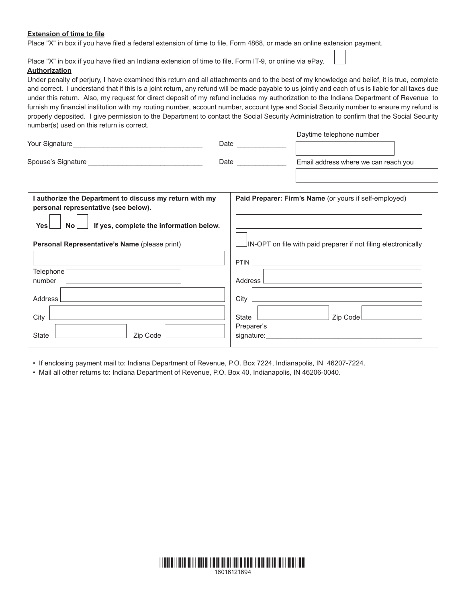# **Extension of time to file**

Place "X" in box if you have filed a federal extension of time to file, Form 4868, or made an online extension payment.

Place "X" in box if you have filed an Indiana extension of time to file, Form IT-9, or online via ePay.

# **Authorization**

Under penalty of perjury, I have examined this return and all attachments and to the best of my knowledge and belief, it is true, complete and correct. I understand that if this is a joint return, any refund will be made payable to us jointly and each of us is liable for all taxes due under this return. Also, my request for direct deposit of my refund includes my authorization to the Indiana Department of Revenue to furnish my financial institution with my routing number, account number, account type and Social Security number to ensure my refund is properly deposited. I give permission to the Department to contact the Social Security Administration to confirm that the Social Security number(s) used on this return is correct.

Daytime telephone number

| Your Signature     | Date | <b>Davillic reightions training!</b> |
|--------------------|------|--------------------------------------|
| Spouse's Signature | Date | Email address where we can reach you |
|                    |      |                                      |

| I authorize the Department to discuss my return with my<br>personal representative (see below). | Paid Preparer: Firm's Name (or yours if self-employed)         |  |  |  |
|-------------------------------------------------------------------------------------------------|----------------------------------------------------------------|--|--|--|
| If yes, complete the information below.<br>Yes<br>No <sub>1</sub>                               |                                                                |  |  |  |
| Personal Representative's Name (please print)                                                   | IN-OPT on file with paid preparer if not filing electronically |  |  |  |
|                                                                                                 | PTIN                                                           |  |  |  |
| Telephone                                                                                       |                                                                |  |  |  |
| number                                                                                          | Address                                                        |  |  |  |
| Address                                                                                         | City                                                           |  |  |  |
| City<br>State<br>Zip Code                                                                       | State<br>Zip Code<br>Preparer's<br>signature:                  |  |  |  |

• If enclosing payment mail to: Indiana Department of Revenue, P.O. Box 7224, Indianapolis, IN 46207-7224.

• Mail all other returns to: Indiana Department of Revenue, P.O. Box 40, Indianapolis, IN 46206-0040.

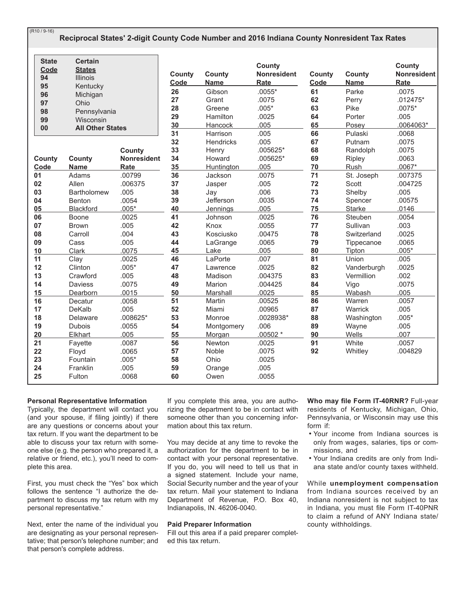| (R10 / 9-16) |  |
|--------------|--|
|--------------|--|

# Reciprocal States' 2-digit County Code Number and 2016 Indiana County Nonresident Tax Rates

| <b>State</b><br>Code<br>94<br>95<br>96<br>97<br>98<br>99<br>00 | <b>Certain</b><br><b>States</b><br><b>Illinois</b><br>Kentucky<br>Michigan<br>Ohio<br>Pennsylvania<br>Wisconsin<br><b>All Other States</b> |                                                    | County<br>Code<br>26<br>27<br>28<br>29<br>30<br>31 | <b>County</b><br><b>Name</b><br>Gibson<br>Grant<br>Greene<br>Hamilton<br>Hancock<br>Harrison | County<br><b>Nonresident</b><br>Rate<br>$.0055*$<br>.0075<br>$.005*$<br>.0025<br>.005<br>.005 | County<br>Code<br>61<br>62<br>63<br>64<br>65<br>66 | County<br><b>Name</b><br>Parke<br>Perry<br>Pike<br>Porter<br>Posey<br>Pulaski | County<br>Nonresident<br>Rate<br>.0075<br>$.012475*$<br>$.0075*$<br>.005<br>.0064063*<br>.0068 |
|----------------------------------------------------------------|--------------------------------------------------------------------------------------------------------------------------------------------|----------------------------------------------------|----------------------------------------------------|----------------------------------------------------------------------------------------------|-----------------------------------------------------------------------------------------------|----------------------------------------------------|-------------------------------------------------------------------------------|------------------------------------------------------------------------------------------------|
| County<br>Code                                                 | County<br><b>Name</b>                                                                                                                      | County<br><b>Nonresident</b><br>Rate               | 32<br>33<br>34<br>35                               | <b>Hendricks</b><br>Henry<br>Howard<br><b>Huntington</b>                                     | .005<br>.005625*<br>$.005625*$<br>.005                                                        | 67<br>68<br>69<br>70                               | Putnam<br>Randolph<br>Ripley<br>Rush                                          | .0075<br>.0075<br>.0063<br>$.0067*$                                                            |
| 01                                                             | Adams                                                                                                                                      | .00799                                             | 36                                                 | Jackson                                                                                      | .0075                                                                                         | 71                                                 | St. Joseph                                                                    | .007375                                                                                        |
| 02                                                             | Allen                                                                                                                                      | .006375                                            | 37                                                 | Jasper                                                                                       | .005                                                                                          | 72                                                 | Scott                                                                         | .004725                                                                                        |
| 03                                                             | <b>Bartholomew</b>                                                                                                                         | .005                                               | 38                                                 | Jay                                                                                          | .006                                                                                          | 73                                                 | Shelby                                                                        | .005                                                                                           |
| 04                                                             | <b>Benton</b>                                                                                                                              | .0054                                              | 39                                                 | Jefferson                                                                                    | .0035                                                                                         | 74                                                 | Spencer                                                                       | .00575                                                                                         |
| 05                                                             | Blackford                                                                                                                                  | $.005*$                                            | 40                                                 | <b>Jennings</b>                                                                              | .005                                                                                          | 75                                                 | <b>Starke</b>                                                                 | .0146                                                                                          |
| 06                                                             | Boone                                                                                                                                      | .0025                                              | 41                                                 | Johnson                                                                                      | .0025                                                                                         | 76                                                 | Steuben                                                                       | .0054                                                                                          |
| 07                                                             | <b>Brown</b>                                                                                                                               | .005                                               | 42                                                 | Knox                                                                                         | .0055                                                                                         | 77                                                 | Sullivan                                                                      | .003                                                                                           |
| 08                                                             | Carroll                                                                                                                                    | .004                                               | 43                                                 | Kosciusko                                                                                    | .00475                                                                                        | 78                                                 | Switzerland                                                                   | .0025                                                                                          |
| 09                                                             | Cass                                                                                                                                       | .005                                               | 44                                                 | LaGrange                                                                                     | .0065                                                                                         | 79                                                 | Tippecanoe                                                                    | .0065                                                                                          |
| 10                                                             | <b>Clark</b>                                                                                                                               | .0075                                              | 45                                                 | Lake                                                                                         | .005                                                                                          | 80                                                 | Tipton                                                                        | $.005*$                                                                                        |
| 11                                                             | Clay                                                                                                                                       | .0025                                              | 46                                                 | LaPorte                                                                                      | .007                                                                                          | 81                                                 | Union                                                                         | .005                                                                                           |
| 12                                                             | Clinton                                                                                                                                    | $.005*$                                            | 47                                                 | Lawrence                                                                                     | .0025                                                                                         | 82                                                 | Vanderburgh                                                                   | .0025                                                                                          |
| 13                                                             | Crawford                                                                                                                                   | .005                                               | 48                                                 | Madison                                                                                      | .004375                                                                                       | 83                                                 | Vermillion                                                                    | .002                                                                                           |
| 14                                                             | Daviess                                                                                                                                    | .0075                                              | 49                                                 | Marion                                                                                       | .004425                                                                                       | 84                                                 | Vigo                                                                          | .0075                                                                                          |
| 15                                                             | Dearborn                                                                                                                                   | .0015                                              | 50                                                 | Marshall                                                                                     | .0025                                                                                         | 85                                                 | Wabash                                                                        | .005                                                                                           |
| 16                                                             | Decatur                                                                                                                                    | .0058                                              | 51                                                 | Martin                                                                                       | .00525                                                                                        | 86                                                 | Warren                                                                        | .0057                                                                                          |
| 17                                                             | DeKalb                                                                                                                                     | .005                                               | 52                                                 | Miami                                                                                        | .00965                                                                                        | 87                                                 | Warrick                                                                       | .005                                                                                           |
| 18                                                             | Delaware                                                                                                                                   | .008625*                                           | 53                                                 | Monroe                                                                                       | .0028938*                                                                                     | 88                                                 | Washington                                                                    | $.005*$                                                                                        |
| 19                                                             | <b>Dubois</b>                                                                                                                              | .0055                                              | 54                                                 | Montgomery                                                                                   | .006                                                                                          | 89                                                 | Wayne                                                                         | .005                                                                                           |
| 20<br>21<br>22<br>23<br>24<br>25                               | Elkhart<br>Fayette<br>Floyd<br>Fountain<br>Franklin<br>Fulton                                                                              | .005<br>.0087<br>.0065<br>$.005*$<br>.005<br>.0068 | 55<br>56<br>57<br>58<br>59<br>60                   | Morgan<br>Newton<br>Noble<br>Ohio<br>Orange<br>Owen                                          | $.00502*$<br>.0025<br>.0075<br>.0025<br>.005<br>.0055                                         | 90<br>91<br>92                                     | Wells<br>White<br>Whitley                                                     | .007<br>.0057<br>.004829                                                                       |

## **Personal Representative Information**

Typically, the department will contact you (and your spouse, if filing jointly) if there are any questions or concerns about your tax return. If you want the department to be able to discuss your tax return with someone else (e.g. the person who prepared it, a relative or friend, etc.), you'll need to complete this area.

First, you must check the "Yes" box which follows the sentence "I authorize the department to discuss my tax return with my personal representative."

Next, enter the name of the individual you are designating as your personal representative; that person's telephone number; and that person's complete address.

If you complete this area, you are authorizing the department to be in contact with someone other than you concerning information about this tax return.

You may decide at any time to revoke the authorization for the department to be in contact with your personal representative. If you do, you will need to tell us that in a signed statement. Include your name, Social Security number and the year of your tax return. Mail your statement to Indiana Department of Revenue, P.O. Box 40, Indianapolis, IN. 46206-0040.

#### **Paid Preparer Information**

Fill out this area if a paid preparer completed this tax return.

Who may file Form IT-40RNR? Full-year residents of Kentucky, Michigan, Ohio, Pennsylvania, or Wisconsin may use this form if:

- . Your income from Indiana sources is only from wages, salaries, tips or commissions, and
- . Your Indiana credits are only from Indiana state and/or county taxes withheld.

While unemployment compensation from Indiana sources received by an Indiana nonresident is not subject to tax in Indiana, you must file Form IT-40PNR to claim a refund of ANY Indiana state/ county withholdings.